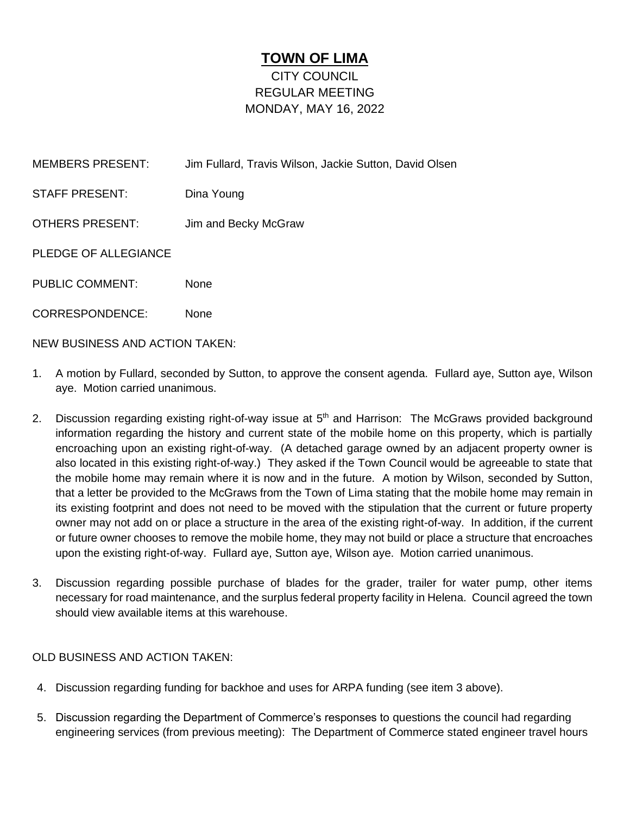## **TOWN OF LIMA** CITY COUNCIL REGULAR MEETING MONDAY, MAY 16, 2022

| <b>MEMBERS PRESENT:</b>               | Jim Fullard, Travis Wilson, Jackie Sutton, David Olsen |
|---------------------------------------|--------------------------------------------------------|
| <b>STAFF PRESENT:</b>                 | Dina Young                                             |
| OTHERS PRESENT:                       | Jim and Becky McGraw                                   |
| PLEDGE OF ALLEGIANCE                  |                                                        |
| <b>PUBLIC COMMENT:</b>                | <b>None</b>                                            |
| <b>CORRESPONDENCE:</b>                | <b>None</b>                                            |
| <b>NEW BUSINESS AND ACTION TAKEN:</b> |                                                        |

1. A motion by Fullard, seconded by Sutton, to approve the consent agenda. Fullard aye, Sutton aye, Wilson aye. Motion carried unanimous.

- 2. Discussion regarding existing right-of-way issue at 5<sup>th</sup> and Harrison: The McGraws provided background information regarding the history and current state of the mobile home on this property, which is partially encroaching upon an existing right-of-way. (A detached garage owned by an adjacent property owner is also located in this existing right-of-way.) They asked if the Town Council would be agreeable to state that the mobile home may remain where it is now and in the future. A motion by Wilson, seconded by Sutton, that a letter be provided to the McGraws from the Town of Lima stating that the mobile home may remain in its existing footprint and does not need to be moved with the stipulation that the current or future property owner may not add on or place a structure in the area of the existing right-of-way. In addition, if the current or future owner chooses to remove the mobile home, they may not build or place a structure that encroaches upon the existing right-of-way. Fullard aye, Sutton aye, Wilson aye. Motion carried unanimous.
- 3. Discussion regarding possible purchase of blades for the grader, trailer for water pump, other items necessary for road maintenance, and the surplus federal property facility in Helena. Council agreed the town should view available items at this warehouse.

## OLD BUSINESS AND ACTION TAKEN:

- 4. Discussion regarding funding for backhoe and uses for ARPA funding (see item 3 above).
- 5. Discussion regarding the Department of Commerce's responses to questions the council had regarding engineering services (from previous meeting): The Department of Commerce stated engineer travel hours